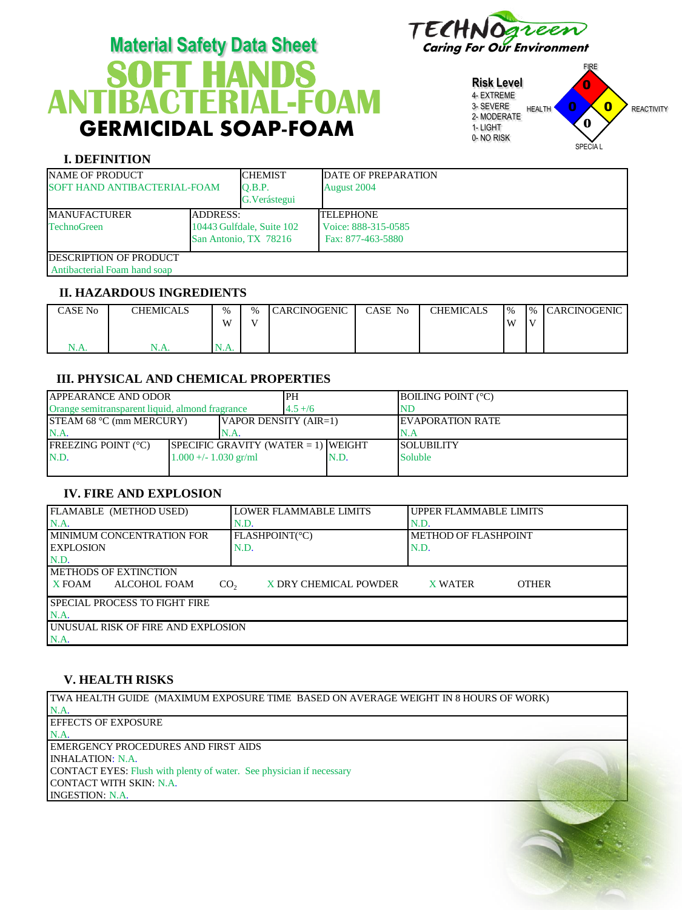

# **T HANDS**  GERMICIDAL SOAP-FOAM **Material Safety Data Sheet** Caring For Our Environment **ANTIBACTERIAL-FOAM**

**Risk Level** 4- EXTREME 3- SEVERE 2- MODERATE 1- LIGHT 0- NO RISK FIRE HEALTH **U U REACTIVITY** SPECIA L 0 0  $\overline{\mathbf{0}}$ **0**

## **I. DEFINITION**

| <b>NAME OF PRODUCT</b><br>SOFT HAND ANTIBACTERIAL-FOAM         |  | <b>CHEMIST</b><br>O.B.P.<br>G. Verástegui          | <b>DATE OF PREPARATION</b><br>August 2004                    |
|----------------------------------------------------------------|--|----------------------------------------------------|--------------------------------------------------------------|
| <b>ADDRESS:</b><br><b>IMANUFACTURER</b><br><b>TechnoGreen</b>  |  | 10443 Gulfdale, Suite 102<br>San Antonio, TX 78216 | <b>TELEPHONE</b><br>Voice: 888-315-0585<br>Fax: 877-463-5880 |
| <b>IDESCRIPTION OF PRODUCT</b><br>Antibacterial Foam hand soap |  |                                                    |                                                              |

## **II. HAZARDOUS INGREDIENTS**

| CASE No                          | <b>CHEMICALS</b>              | $\frac{0}{6}$<br><b>XX7</b> | $\frac{0}{6}$<br><b>TT</b> | CARCINOGENIC | CASE No | <b>CHEMICALS</b> | $\frac{9}{6}$<br>W | $\frac{9}{6}$<br>$\mathbf{V}$ | <b>ICARCINOGENIC</b> |
|----------------------------------|-------------------------------|-----------------------------|----------------------------|--------------|---------|------------------|--------------------|-------------------------------|----------------------|
| ◟<br>$\mathbf{V}$ . $\mathbf{V}$ | $\mathbf{N}$ . $\mathbf{F}$ . | $\mathbf{1}$                |                            |              |         |                  |                    |                               |                      |

# **III. PHYSICAL AND CHEMICAL PROPERTIES**

| IAPPEARANCE AND ODOR                                              |                         |                                        | PH        |      | <b>BOILING POINT (°C)</b> |
|-------------------------------------------------------------------|-------------------------|----------------------------------------|-----------|------|---------------------------|
| Orange semitransparent liquid, almond fragrance                   |                         |                                        | $4.5 + 6$ |      | <b>ND</b>                 |
| <b>STEAM 68 °C (mm MERCURY)</b><br>$\forall$ APOR DENSITY (AIR=1) |                         |                                        |           |      | <b>IEVAPORATION RATE</b>  |
| N.A                                                               |                         | IN.A.                                  |           |      | N.A                       |
| IFREEZING POINT (°C)                                              |                         | SPECIFIC GRAVITY (WATER $= 1$ ) WEIGHT |           |      | <b>ISOLUBILITY</b>        |
| N.D.                                                              | $1.000 +/- 1.030$ gr/ml |                                        |           | N.D. | <b>Soluble</b>            |
|                                                                   |                         |                                        |           |      |                           |

# **IV. FIRE AND EXPLOSION**

| FLAMABLE (METHOD USED)                           | <b>LOWER FLAMMABLE LIMITS</b> | I UPPER FLAMMABLE LIMITS |  |  |  |  |  |
|--------------------------------------------------|-------------------------------|--------------------------|--|--|--|--|--|
| N.A.                                             | N.D.                          | N.D.                     |  |  |  |  |  |
| <b>IMINIMUM CONCENTRATION FOR</b>                | FLASHPOINT(°C)                | METHOD OF FLASHPOINT     |  |  |  |  |  |
| <b>IEXPLOSION</b>                                | N.D.                          | N.D.                     |  |  |  |  |  |
| N.D.                                             |                               |                          |  |  |  |  |  |
| <b>IMETHODS OF EXTINCTION</b>                    |                               |                          |  |  |  |  |  |
| <b>X FOAM</b><br>ALCOHOL FOAM<br>CO <sub>2</sub> | X DRY CHEMICAL POWDER         | X WATER<br><b>OTHER</b>  |  |  |  |  |  |
| I SPECIAL PROCESS TO FIGHT FIRE                  |                               |                          |  |  |  |  |  |
| N.A.                                             |                               |                          |  |  |  |  |  |
| UNUSUAL RISK OF FIRE AND EXPLOSION               |                               |                          |  |  |  |  |  |
| N.A.                                             |                               |                          |  |  |  |  |  |

## **V. HEALTH RISKS**

TWA HEALTH GUIDE (MAXIMUM EXPOSURE TIME BASED ON AVERAGE WEIGHT IN 8 HOURS OF WORK) N.A. EFFECTS OF EXPOSURE N.A. EMERGENCY PROCEDURES AND FIRST AIDS INHALATION: N.A. CONTACT EYES: Flush with plenty of water. See physician if necessary CONTACT WITH SKIN: N.A. INGESTION: N.A.